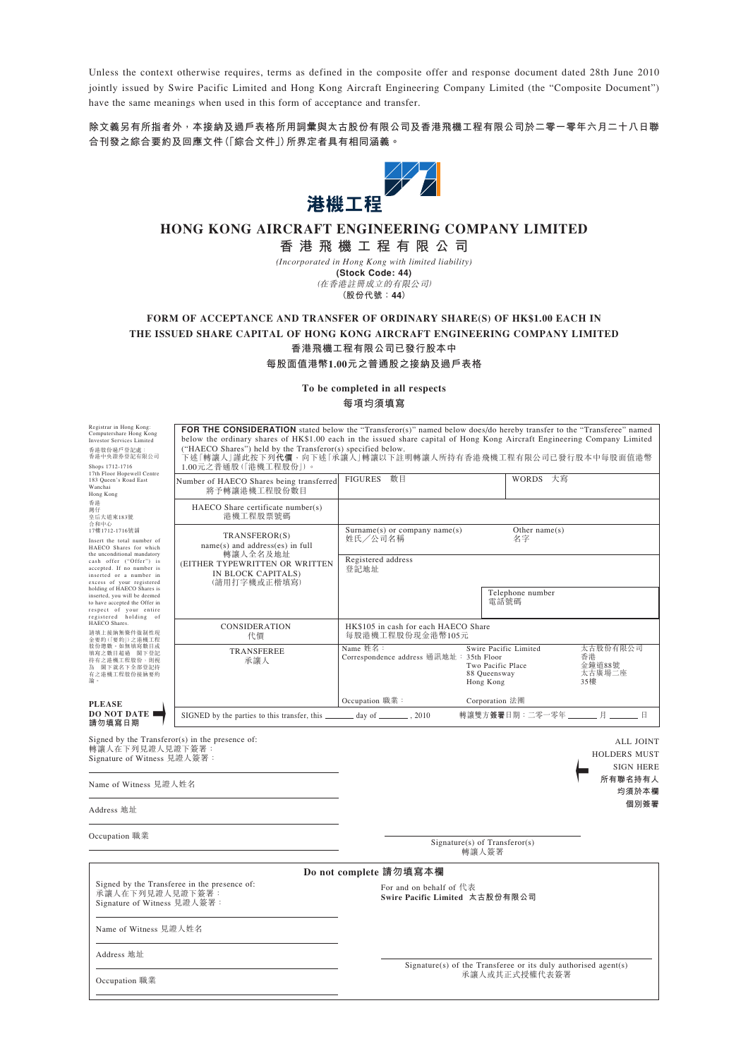Unless the context otherwise requires, terms as defined in the composite offer and response document dated 28th June 2010 jointly issued by Swire Pacific Limited and Hong Kong Aircraft Engineering Company Limited (the "Composite Document") have the same meanings when used in this form of acceptance and transfer.

**除文義另有所指者外,本接納及過戶表格所用詞彙與太古股份有限公司及香港飛機工程有限公司於二零一零年六月二十八日聯 合刊發之綜合要約及回應文件(「綜合文件」)所界定者具有相同涵義。**



# **HONG KONG AIRCRAFT ENGINEERING COMPANY LIMITED**

**香港飛機工程有限公司**

*(Incorporated in Hong Kong with limited liability)* **(Stock Code: 44)** (在香港註冊成立的有限公司) **(股份代號:44)**

## **FORM OF ACCEPTANCE AND TRANSFER OF ORDINARY SHARE(S) OF HK\$1.00 EACH IN THE ISSUED SHARE CAPITAL OF HONG KONG AIRCRAFT ENGINEERING COMPANY LIMITED 香港飛機工程有限公司已發行股本中 每股面值港幣1.00元之普通股之接納及過戶表格**

**To be completed in all respects 每項均須填寫**

| Registrar in Hong Kong:<br>Computershare Hong Kong<br><b>Investor Services Limited</b><br>香港股份過戶登記處:<br>香港中央證券登記有限公司<br>Shops 1712-1716<br>17th Floor Hopewell Centre<br>183 Queen's Road East<br>Wanchai<br>Hong Kong<br>香港<br>灣仔<br>皇后大道東183號<br>合和中心<br>17樓1712-1716號鋪<br>Insert the total number of<br>HAECO Shares for which<br>the unconditional mandatory<br>cash offer ("Offer") is<br>accepted. If no number is<br>inserted or a number in<br>excess of your registered<br>holding of HAECO Shares is<br>inserted, you will be deemed<br>to have accepted the Offer in<br>respect of your entire<br>registered holding of<br>HAECO Shares.<br>請填上接納無條件強制性現<br>金要約(「要約」)之港機工程<br>股份總數。如無填寫數目或<br>填寫之數目超過 閣下登記<br>持有之港機工程股份,則視<br>為 閣下就名下全部登記持<br>有之港機工程股份接納要約<br>論。<br><b>PLEASE</b> | <b>FOR THE CONSIDERATION</b> stated below the "Transferor(s)" named below does/do hereby transfer to the "Transferee" named<br>below the ordinary shares of HK\$1.00 each in the issued share capital of Hong Kong Aircraft Engineering Company Limited<br>("HAECO Shares") held by the Transferor(s) specified below.<br>下述「轉讓人」謹此按下列代價,向下述「承讓人」轉讓以下註明轉讓人所持有香港飛機工程有限公司已發行股本中每股面值港幣<br>1.00元之普通股(「港機工程股份」)。 |                                                                |                                                                         |                                                      |
|----------------------------------------------------------------------------------------------------------------------------------------------------------------------------------------------------------------------------------------------------------------------------------------------------------------------------------------------------------------------------------------------------------------------------------------------------------------------------------------------------------------------------------------------------------------------------------------------------------------------------------------------------------------------------------------------------------------------------------------------------------------------------------------------|-------------------------------------------------------------------------------------------------------------------------------------------------------------------------------------------------------------------------------------------------------------------------------------------------------------------------------------------------------------------------------------------------------------|----------------------------------------------------------------|-------------------------------------------------------------------------|------------------------------------------------------|
|                                                                                                                                                                                                                                                                                                                                                                                                                                                                                                                                                                                                                                                                                                                                                                                              | Number of HAECO Shares being transferred<br>將予轉讓港機工程股份數目                                                                                                                                                                                                                                                                                                                                                    | FIGURES 數目                                                     | WORDS 大寫                                                                |                                                      |
|                                                                                                                                                                                                                                                                                                                                                                                                                                                                                                                                                                                                                                                                                                                                                                                              | HAECO Share certificate number(s)<br>港機工程股票號碼                                                                                                                                                                                                                                                                                                                                                               |                                                                |                                                                         |                                                      |
|                                                                                                                                                                                                                                                                                                                                                                                                                                                                                                                                                                                                                                                                                                                                                                                              | TRANSFEROR(S)<br>name(s) and address(es) in full<br>轉讓人全名及地址<br>(EITHER TYPEWRITTEN OR WRITTEN<br>IN BLOCK CAPITALS)<br>(請用打字機或正楷填寫)                                                                                                                                                                                                                                                                        | $Surname(s)$ or company name $(s)$<br>姓氏/公司名稱                  | Other $name(s)$<br>名字                                                   |                                                      |
|                                                                                                                                                                                                                                                                                                                                                                                                                                                                                                                                                                                                                                                                                                                                                                                              |                                                                                                                                                                                                                                                                                                                                                                                                             | Registered address<br>登記地址                                     |                                                                         |                                                      |
|                                                                                                                                                                                                                                                                                                                                                                                                                                                                                                                                                                                                                                                                                                                                                                                              |                                                                                                                                                                                                                                                                                                                                                                                                             |                                                                | Telephone number<br>電話號碼                                                |                                                      |
|                                                                                                                                                                                                                                                                                                                                                                                                                                                                                                                                                                                                                                                                                                                                                                                              | <b>CONSIDERATION</b><br>代價                                                                                                                                                                                                                                                                                                                                                                                  | HK\$105 in cash for each HAECO Share<br>每股港機工程股份現金港幣105元       |                                                                         |                                                      |
|                                                                                                                                                                                                                                                                                                                                                                                                                                                                                                                                                                                                                                                                                                                                                                                              | <b>TRANSFEREE</b><br>承讓人                                                                                                                                                                                                                                                                                                                                                                                    | Name 姓名:<br>Correspondence address 通訊地址: 35th Floor            | Swire Pacific Limited<br>Two Pacific Place<br>88 Queensway<br>Hong Kong | 太古股份有限公司<br>香港<br>金鐘道88號<br>太古廣場二座<br>35樓            |
|                                                                                                                                                                                                                                                                                                                                                                                                                                                                                                                                                                                                                                                                                                                                                                                              |                                                                                                                                                                                                                                                                                                                                                                                                             | Occupation 職業:                                                 | Corporation 法團                                                          |                                                      |
| <b>DO NOT DATE</b><br>請勿填寫日期                                                                                                                                                                                                                                                                                                                                                                                                                                                                                                                                                                                                                                                                                                                                                                 | SIGNED by the parties to this transfer, this _________ day of ________, 2010                                                                                                                                                                                                                                                                                                                                |                                                                | 轉讓雙方簽署日期:二零一零年 _______ 月 ______ 日                                       |                                                      |
| 轉讓人在下列見證人見證下簽署:<br>Signature of Witness 見證人簽署:                                                                                                                                                                                                                                                                                                                                                                                                                                                                                                                                                                                                                                                                                                                                               | Signed by the $Transformer(s)$ in the presence of:                                                                                                                                                                                                                                                                                                                                                          |                                                                |                                                                         | ALL JOINT<br><b>HOLDERS MUST</b><br><b>SIGN HERE</b> |
| Name of Witness 見證人姓名                                                                                                                                                                                                                                                                                                                                                                                                                                                                                                                                                                                                                                                                                                                                                                        |                                                                                                                                                                                                                                                                                                                                                                                                             |                                                                |                                                                         | 所有聯名持有人<br>均須於本欄                                     |
| Address 地址                                                                                                                                                                                                                                                                                                                                                                                                                                                                                                                                                                                                                                                                                                                                                                                   |                                                                                                                                                                                                                                                                                                                                                                                                             |                                                                |                                                                         | 個別簽署                                                 |
| Occupation 職業                                                                                                                                                                                                                                                                                                                                                                                                                                                                                                                                                                                                                                                                                                                                                                                |                                                                                                                                                                                                                                                                                                                                                                                                             |                                                                | $Signature(s)$ of Transferor(s)<br>轉讓人簽署                                |                                                      |
|                                                                                                                                                                                                                                                                                                                                                                                                                                                                                                                                                                                                                                                                                                                                                                                              |                                                                                                                                                                                                                                                                                                                                                                                                             | Do not complete 請勿填寫本欄                                         |                                                                         |                                                      |
| Signed by the Transferee in the presence of:<br>承讓人在下列見證人見證下簽署:<br>Signature of Witness 見證人簽署:                                                                                                                                                                                                                                                                                                                                                                                                                                                                                                                                                                                                                                                                                               |                                                                                                                                                                                                                                                                                                                                                                                                             | For and on behalf of 代表<br>Swire Pacific Limited 太古股份有限公司      |                                                                         |                                                      |
| Name of Witness 見證人姓名                                                                                                                                                                                                                                                                                                                                                                                                                                                                                                                                                                                                                                                                                                                                                                        |                                                                                                                                                                                                                                                                                                                                                                                                             |                                                                |                                                                         |                                                      |
| Address 地址                                                                                                                                                                                                                                                                                                                                                                                                                                                                                                                                                                                                                                                                                                                                                                                   |                                                                                                                                                                                                                                                                                                                                                                                                             | Signature(s) of the Transferee or its duly authorised agent(s) |                                                                         |                                                      |
| Occupation 職業                                                                                                                                                                                                                                                                                                                                                                                                                                                                                                                                                                                                                                                                                                                                                                                |                                                                                                                                                                                                                                                                                                                                                                                                             |                                                                | 承讓人或其正式授權代表簽署                                                           |                                                      |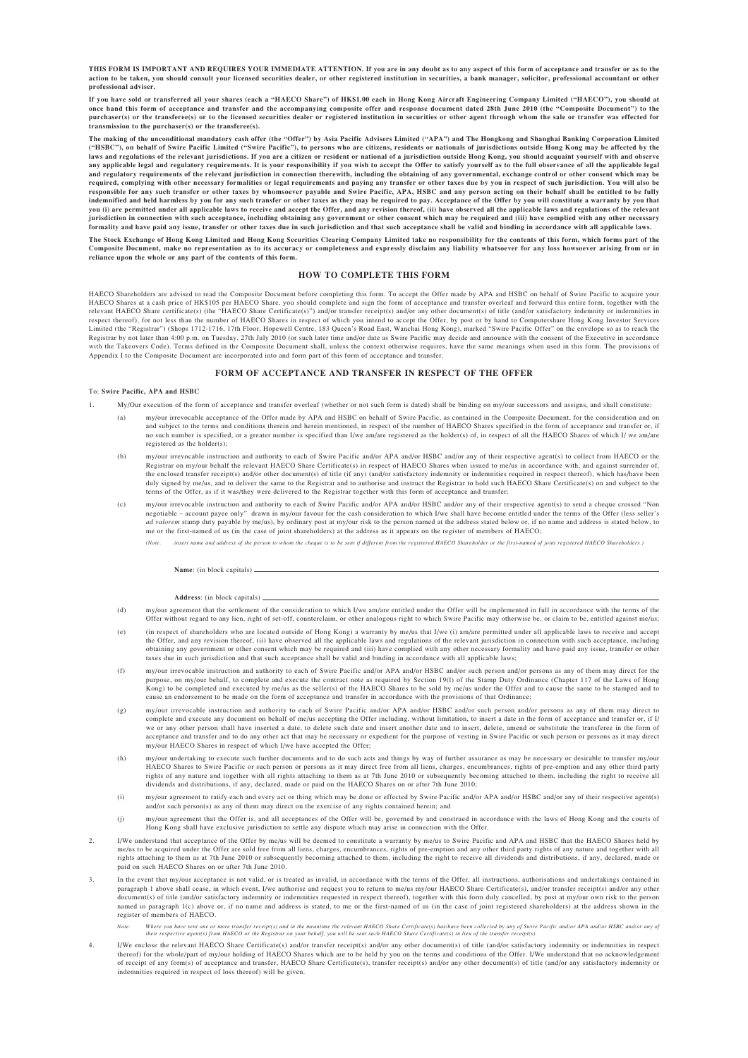**THIS FORM IS IMPORTANT AND REQUIRES YOUR IMMEDIATE ATTENTION. If you are in any doubt as to any aspect of this form of acceptance and transfer or as to the action to be taken, you should consult your licensed securities dealer, or other registered institution in securities, a bank manager, solicitor, professional accountant or other professional adviser.**

**If you have sold or transferred all your shares (each a "HAECO Share") of HK\$1.00 each in Hong Kong Aircraft Engineering Company Limited ("HAECO"), you should at** once hand this form of acceptance and transfer and the accompanying composite offer and response document dated 28th June 2010 (the "Composite Document") to the<br>purchaser(s) or the transferee(s) or to the licensed securiti **transmission to the purchaser(s) or the transferee(s).**

**The making of the unconditional mandatory cash offer (the "Offer") by Asia Pacific Advisers Limited ("APA") and The Hongkong and Shanghai Banking Corporation Limited ("HSBC"), on behalf of Swire Pacific Limited ("Swire Pacific"), to persons who are citizens, residents or nationals of jurisdictions outside Hong Kong may be affected by the** laws and regulations of the relevant jurisdictions. If you are a citizen or resident or national of a jurisdiction outside Hong Kong, you should acquaint yourself with and observe<br>any applicable legal and regulatory requir required, complying with other necessary formalities or legal requirements and paying any transfer or other taxes due by you in respect of such jurisdiction. You will also be<br>responsible for any such transfer or other taxe **you (i) are permitted under all applicable laws to receive and accept the Offer, and any revision thereof, (ii) have observed all the applicable laws and regulations of the relevant** jurisdiction in connection with such acceptance, including obtaining any government or other consent which may be required and (iii) have complied with any other necessary<br>formality and have paid any issue, transfer or oth

**The Stock Exchange of Hong Kong Limited and Hong Kong Securities Clearing Company Limited take no responsibility for the contents of this form, which forms part of the Composite Document, make no representation as to its accuracy or completeness and expressly disclaim any liability whatsoever for any loss howsoever arising from or in reliance upon the whole or any part of the contents of this form.**

#### **HOW TO COMPLETE THIS FORM**

HAECO Shareholders are advised to read the Composite Document before completing this form. To accept the Offer made by APA and HSBC on behalf of Swire Pacific to acquire your HAECO Shares at a cash price of HK\$105 per HAECO Share, you should complete and sign the form of acceptance and transfer overleaf and forward this entire form, together with the the "HAECO Share certificate(s)") and/or tra Limited (the "Registrar") (Shops 1712-1716, 17th Floor, Hopewell Centre, 183 Queen's Road East, Wanchai Hong Kong), marked "Swire Pacific Offer" on the envelope so as to reach the Limited (the "Registrar") (Shops 1712-1716 Registrar by not later than 4:00 p.m. on Tuesday, 27th July 2010 (or such later time and/or date as Swire Pacific may decide and announce with the consent of the Executive in accordance<br>with the Takeovers Code). Terms defi Appendix I to the Composite Document are incorporated into and form part of this form of acceptance and transfer.

#### **FORM OF ACCEPTANCE AND TRANSFER IN RESPECT OF THE OFFER**

#### To: **Swire Pacific, APA and HSBC**

- 1. My/Our execution of the form of acceptance and transfer overleaf (whether or not such form is dated) shall be binding on my/our successors and assigns, and shall constitute:
	- (a) my/our irrevocable acceptance of the Offer made by APA and HSBC on behalf of Swire Pacific, as contained in the Composite Document, for the consideration and on and subject to the terms and conditions therein and herein mentioned, in respect of the number of HAECO Shares specified in the form of acceptance and transfer or, if<br>no such number is specified, or a greater number is spe registered as the holder(s);
	- (b) my/our irrevocable instruction and authority to each of Swire Pacific and/or APA and/or HSBC and/or any of their respective agent(s) to collect from HAECO or the  $R_{\text{e}}$  is the relevant HAECO Share Certificate(s) in respect of HAECO Shares when issued to me/us in accordance with, and against surrender of,  $R_{\text{e}}$  is a corolation with and against surrender of, the enclosed transfer receipt(s) and/or other document(s) of title (if any) (and/or satisfactory indemnity or indemnities required in respect thereof), which has/have been<br>duly signed by me/us, and to deliver the same to t terms of the Offer, as if it was/they were delivered to the Registrar together with this form of acceptance and transfer;
	- (c) my/our irrevocable instruction and authority to each of Swire Pacific and/or APA and/or HSBC and/or any of their respective agent(s) to send a cheque crossed " negotiable – account payee only" drawn in my/our favour for the cash consideration to which I/we shall have become entitled under the terms of the Offer (less seller's<br>*ad valorem* stamp duty payable by me/us), by ordinary me or the first-named of us (in the case of joint shareholders) at the address as it appears on the register of members of HAECO;
		- *(Note: insert name and address of the person to whom the cheque is to be sent if different from the registered HAECO Shareholder or the first-named of joint registered HAECO Shareholders.)*

#### **Name**: (in block capitals)

#### **Address**: (in block capitals)

- (d) my/our agreement that the settlement of the consideration to which I/we am/are entitled under the Offer will be implemented in full in accordance with the terms of the Offer without regard to any lien, right of set-off, counterclaim, or other analogous right to which Swire Pacific may otherwise be, or claim to be, entitled against me/us;
- (e) (in respect of shareholders who are located outside of Hong Kong) a warranty by me/us that I/we (i) am/are permitted under all applicable laws to receive and accept the Offer, and any revision thereof, (ii) have observed all the applicable laws and regulations of the relevant jurisdiction in connection with such acceptance, including obtaining any government or other consent which may be required and (iii) have complied with any other necessary formality and have paid any issue, transfer or other taxes due in such jurisdiction and that such acceptance shall be valid and binding in accordance with all applicable laws;
- (f) my/our irrevocable instruction and authority to each of Swire Pacific and/or APA and/or HSBC and/or such person and/or persons as any of them may direct for the purpose, on my/our behalf, to complete and execute the contract note as required by Section 19(1) of the Stamp Duty Ordinance (Chapter 117 of the Laws of Hong<br>Kong) to be completed and executed by me/us as the seller(s) of cause an endorsement to be made on the form of acceptance and transfer in accordance with the provisions of that Ordinance;
- (g) my/our irrevocable instruction and authority to each of Swire Pacific and/or APA and/or HSBC and/or such person and/or persons as any of them may direct to complete and execute any document on behalf of me/us accepting the Offer including, without limitation, to insert a date in the form of acceptance and transfer or, if I/<br>we or any other person shall have inserted a date, t acceptance and transfer and to do any other act that may be necessary or expedient for the purpose of vesting in Swire Pacific or such person or persons as it may direct my/our HAECO Shares in respect of which I/we have accepted the Offer;
- (h) my/our undertaking to execute such further documents and to do such acts and things by way of further assurance as may be necessary or desirable to transfer n HAECO Shares to Swire Pacific or such person or persons as it may direct free from all liens, charges, encumbrances, rights of pre-emption and any other third party<br>rights of any nature and together with all rights attachi dividends and distributions, if any, declared, made or paid on the HAECO Shares on or after 7th June 2010;
- (i) my/our agreement to ratify each and every act or thing which may be done or effected by Swire Pacific and/or APA and/or HSBC and/or any of their respective agent(s) and/or such person(s) as any of them may direct on the exercise of any rights contained herein; and
- (j) my/our agreement that the Offer is, and all acceptances of the Offer will be, governed by and construed in accordance with the laws of Hong Kong and the courts of Hong Kong shall have exclusive jurisdiction to settle any dispute which may arise in connection with the Offer.
- 2. I/We understand that acceptance of the Offer by me/us will be deemed to constitute a warranty by me/us to Swire Pacific and APA and HSBC that the HAECO Shares held by me/us to be acquired under the Offer are sold free from all liens, charges, encumbrances, rights of pre-emption and any other third party rights of any nature and together with all<br>rights attaching to them as at 7th June 2 paid on such HAECO Shares on or after 7th June 2010.
- <sup>3</sup> In the event that my/our acceptance is not valid, or is treated as invalid, in accordance with the terms of the Offer, all instructions, authorisations and undertakings contained in paragraph 1 above shall cease, in which event, I/we authorise and request you to return to me/us my/our HAECO Share Certificate(s), and/or transfer receipt(s) and/or any other paragraph 1 above shall cease, in which event, document(s) of title (and/or satisfactory indemnity or indemnities requested in respect thereof), together with this form duly cancelled, by post at my/our own risk to the person<br>named in paragraph 1(c) above or, if no nam register of members of HAECO.
	- Note: Where you have sent one or more transfer receipt(s) and in the meantime the relevant HAECO share Certificate(s) hashlove been collected by any of Swire Pacific andlor APA andlor HSBC andlor any of<br>their respective ag
- 4. I/We enclose the relevant HAECO Share Certificate(s) and/or transfer receipt(s) and/or any other document(s) of title (and/or satisfactory indemnity or indemnities in respect thereof) for the whole/part of my/our holding of HAECO Shares which are to be held by you on the terms and conditions of the Offer. I/We understand that no acknowledgement<br>of receipt of any form(s) of acceptance and transf indemnities required in respect of loss thereof) will be given.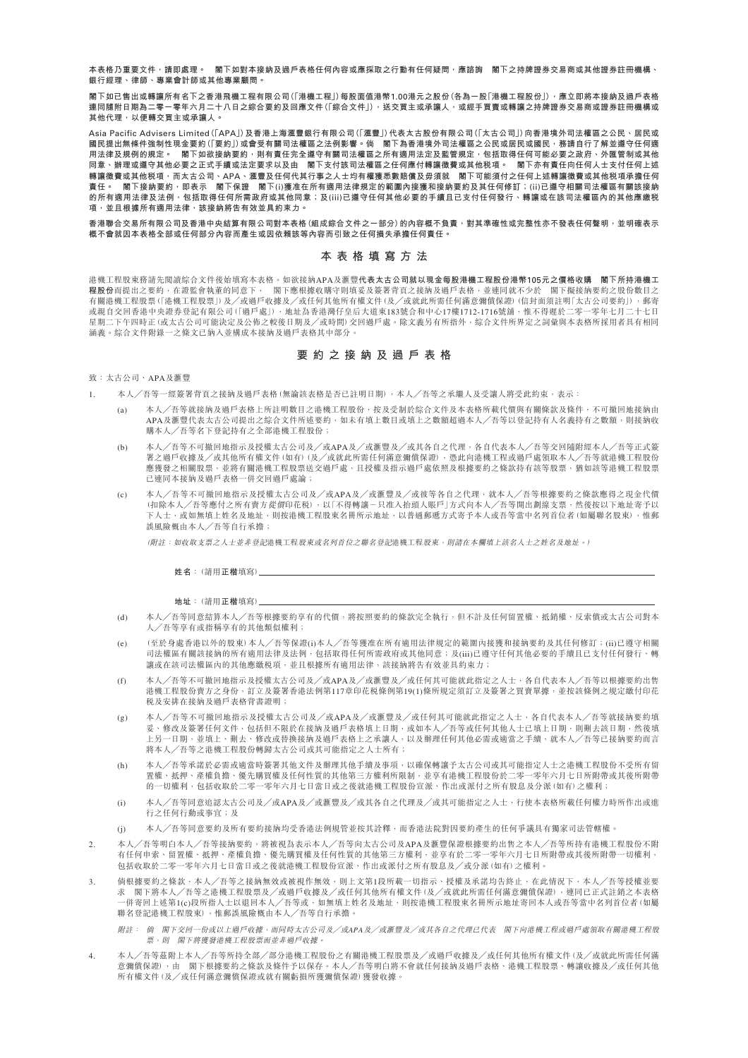**本表格乃重要文件,請即處理。 閣下如對本接納及過戶表格任何內容或應採取之行動有任何疑問,應諮詢 閣下之持牌證券交易商或其他證券註冊機構、 銀行經理、律師、專業會計師或其他專業顧問。**

**閣下如已售出或轉讓所有名下之香港飛機工程有限公司(「港機工程」)每股面值港幣**1.00**港元之股份(各為一股「港機工程股份」),應立即將本接納及過戶表格 連同隨附日期為二零一零年六月二十八日之綜合要約及回應文件(「綜合文件」),送交買主或承讓人,或經手買賣或轉讓之持牌證券交易商或證券註冊機構或 其他代理,以便轉交買主或承讓人。**

Asia Pacific Advisers Limited**(「**APA**」)及香港上海㶅豐銀行有限公司(「㶅豐」)代表太古股份有限公司(「太古公司」)向香港境外司法權區之公民、居民或 國民提出無條件強制性現金要約(「要約」)或會受有關司法權區之法例影響。倘 閣下為香港境外司法權區之公民或居民或國民,務請自行了解並遵守任何適** 用法律及規例的規定。 閣下如欲接納要約<sup>,</sup>則有責任完全遵守有關司法權區之所有適用法定及監管規定,包括取得任何可能必要之政府、外匯管制或其他 **同意、辦理或遵守其他必要之正式手續或法定要求以及由 閣下支付該司法權區之任何應付轉讓徵費或其他稅項。 閣下亦有責任向任何人士支付任何上述 轉讓徵費或其他稅項,而太古公司、**APA**、㶅豐及任何代其行事之人士均有權獲悉數賠償及毋須就 閣下可能須付之任何上述轉讓徵費或其他稅項承擔任何 責任。 閣下接納要約,即表示 閣下保證 閣下**(i)**獲准在所有適用法律規定的範圍內接獲和接納要約及其任何修訂;**(ii)**已遵守相關司法權區有關該接納 的所有適用法律及法例,包括取得任何所需政府或其他同意;及**(iii)**已遵守任何其他必要的手續且已支付任何發行、轉讓或在該司法權區內的其他應繳稅 項,並且根據所有適用法律,該接納將告有效並具約束力。**

香港聯合交易所有限公司及香港中央結算有限公司對本表格(組成綜合文件之一部分)的內容概不負責,對其準確性或完整性亦不發表任何聲明,並明確表示 **概不會就因本表格全部或任何部分內容而產生或因依賴該等內容而引致之任何損失承擔任何責任。**

## **本表格填寫方法**

港機工程股東務請先閱讀綜合文件後始填寫本表格。如欲接納APA及㶅豐**代表太古公司就以現金每股港機工程股份港幣**105**元之價格收購 閣下所持港機工 程股份**而提出之要約,在證監會執董的同意下, 閣下應根據收購守則填妥及簽署背頁之接納及過戶表格,並連同就不少於 閣下擬接納要約之股份數目之 有關港機工程股票(「港機工程股票」)及╱或過戶收據及╱或任何其他所有權文件(及╱或就此所需任何滿意彌償保證)(信封面須註明「太古公司要約」),郵寄 或親自交回香港中央證券登記有限公司(「過戶處」),地址為香港灣仔皇后大道東183號合和中心17樓1712-1716號舖,惟不得遲於二零一零年七月二十七日 星期二下午四時正(或太古公司可能決定及公佈之較後日期及╱或時間)交回過戶處。除文義另有所指外,綜合文件所界定之詞彙與本表格所採用者具有相同 涵義。綜合文件附錄一之條文已納入並構成本接納及過戶表格其中部分。

## **要約之接納及過戶表格**

致:太古公司、APA及滙豐

本人/吾等一經簽署背頁之接納及過戶表格(無論該表格是否已註明日期),本人/吾等之承繼人及受讓人將受此約束,表示:

- (a) 本人╱吾等就接納及過戶表格上所註明數目之港機工程股份,按及受制於綜合文件及本表格所載代價與有關條款及條件,不可撤回地接納由 APA及滙豐代表太古公司提出之綜合文件所述要約,如未有填上數目或填上之數額超過本人/吾等以登記持有人名義持有之數額,則接納收 購本人╱吾等名下登記持有之全部港機工程股份;
- (b) 本人/吾等不可撤回地指示及授權太古公司及/或APA及/或趣豐及/或其各自之代理,各自代表本人/吾等交回隨附經本人/吾等正式簽 著之過戶收據及/或其他所有權文件(如有)(及/或就此所需任何滿意彌僨保證),憑此向港機工程或過戶處領取本人/吾等就港機工程股份 應獲發之相關股票,並將有關港機工程股票送交過戶處,且授權及指示過戶處依照及根據要約之條款持有該等股票,猶如該等港機工程股票 已連同本接納及過戶表格一併交回過戶處論;
- (c) 本人╱吾等不可撤回地指示及授權太古公司及╱或APA及/或㶅豐及/或彼等各自之代理,就本人╱吾等根據要約之條款應得之現金代價 (扣除本人╱吾等應付之所有賣方從價印花稅),以「不得轉讓-只准入抬頭人賬戶」方式向本人╱吾等開出劃線支票,然後按以下地址寄予以 下人士,或如無填上姓名及地址,則按港機工程股東名冊所示地址,以普通郵遞方式寄予本人或吾等當中名列首位者(如屬聯名股東),惟郵 誤風險概由本人 /吾等自行承擔;

(附註:如收取支票之人士並非登記港機工程股東或名列首位之聯名登記港機工程股東,則請在本欄填上該名人士之姓名及地址。)

**姓名**:(請用**正楷**填寫)

**地址**:(請用**正楷**填寫)

- (d) 本人/吾等同意結算本人/吾等根據要約享有的代價,將按照要約的條款完全執行,但不計及任何留置權、抵銷權、反索償或太古公司對本 人/吾等享有或指稱享有的其他類似權利;
- (e) (至於身處香港以外的股東)本人/吾等保證(i)本人/吾等獲准在所有適用法律規定的範圍內接獲和接納要約及其任何修訂;(ii)已遵守相關 司法權區有關該接納的所有適用法律及法例,包括取得任何所需政府或其他同意;及(iii)已遵守任何其他必要的手續且已支付任何發行、轉 讓或在該司法權區內的其他應繳稅項,並且根據所有適用法律,該接納將告有效並具約束力;
- (f) 本人/吾等不可撤回地指示及授權太古公司及/或APA及/或滙豐及/或任何其可能就此指定之人士,各自代表本人/吾等以根據要約出售 港機工程股份賣方之身份,訂立及簽署香港法例第117章印花税條例第19(1)條所規定須訂立及簽署之買賣單據,並按該條例之規定繳付印花 稅及安排在接納及過戶表格背書證明;
- (g) 本人╱吾等不可撤回地指示及授權太古公司及╱或APA及╱或滙豐及╱或任何其可能就此指定之人士,各自代表本人╱吾等就接納要約填 妥、修改及簽署任何文件,包括但不限於在接納及過戶表格填上日期,或如本人╱吾等或任何其他人士已填上日期,則刪去該日期,然後填 上另一日期,並填上、刪去、修改或替換接納及過戶表格上之承讓人,以及辦理任何其他必需或適當之手續,就本人/吾等已接納要約而言 將本人╱吾等之港機工程股份轉歸太古公司或其可能指定之人士所有;
- (h) 本人╱吾等承諾於必需或適當時簽署其他文件及辦理其他手續及事項,以確保轉讓予太古公司或其可能指定人士之港機工程股份不受所有留 置權、抵押、產權負擔、優先購買權及任何性質的其他第三方權利所限制,並享有港機工程股份於二零一零年六月七日所附帶或其後所附帶 的一切權利,包括收取於二零一零年六月七日當日或之後就港機工程股份宣派、作出或派付之所有股息及分派(如有)之權利;
- (i) 本人/吾等同意追認太古公司及/或APA及/或滙豐及/或其各自之代理及/或其可能指定之人士,行使本表格所載任何權力時所作出或進 行之任何行動或事宜;及
- (j) 本人/吾等同意要約及所有要約接納均受香港法例規管並按其詮釋,而香港法院對因要約產生的任何爭議具有獨家司法管轄權。
- 2. 本人/吾等明白本人/吾等接納要約,將被視為表示本人/吾等向太古公司及APA及滙豐保證根據要約出售之本人/吾等所持有港機工程股份不附 有任何申索、留置權、抵押、產權負擔、優先購買權及任何性質的其他第三方權利,並享有於二零一零年六月七日所附帶或其後所附帶一切權利, 包括收取於二零一零年六月七日當日或之後就港機工程股份宣派、作出或派付之所有股息及╱或分派(如有)之權利。
- 3. 倘根據要約之條款,本人/吾等之接納無效或被視作無效,則上文第1段所載一切指示、授權及承諾均告終止,在此情況下,本人/吾等授權並要 求 閣下將本人╱吾等之港機工程股票及╱或過戶收據及╱或任何其他所有權文件(及╱或就此所需任何滿意彌償保證),連同已正式註銷之本表格 -併寄回上述第1(c)段所指人士以退回本人╱吾等或,如無填上姓名及地址,則按港機工程股東名冊所示地址寄回本人或吾等當中名列首位者(如屬 聯名登記港機工程股東),惟郵誤風險概由本人╱吾等自行承擔。
	- 附註: 倘 閣下交回一份或以上過戶收據,而同時太古公司及╱或*APA*及/或㶅豐及/或其各自之代理已代表 閣下向港機工程或過戶處領取有關港機工程股 票,則 閣下將獲發港機工程股票而並非過戶收據。
- 4. 本人╱吾等茲附上本人╱吾等所持全部╱部分港機工程股份之有關港機工程股票及╱或過戶收據及╱或任何其他所有權文件(及╱或就此所需任何滿 意彌償保證),由 閣下根據要約之條款及條件予以保存。本人/吾等明白將不會就任何接納及過戶表格、港機工程股票、轉讓收據及/或任何其他 所有權文件(及╱或任何滿意彌償保證或就有關虧損所獲彌償保證)獲發收據。